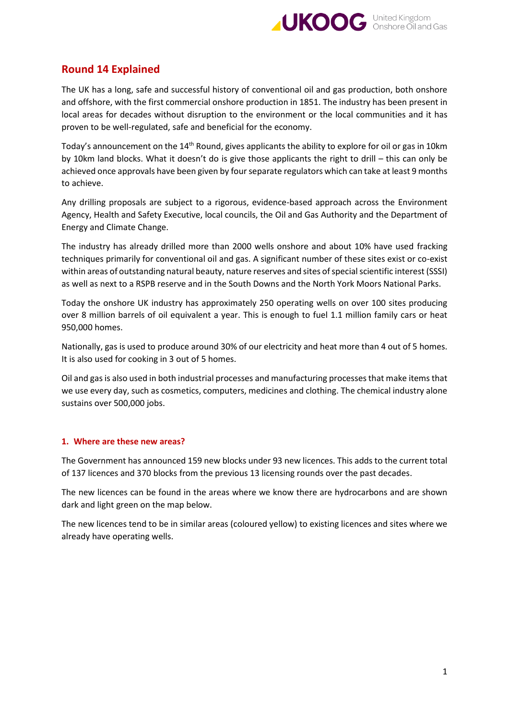

# **Round 14 Explained**

The UK has a long, safe and successful history of conventional oil and gas production, both onshore and offshore, with the first commercial onshore production in 1851. The industry has been present in local areas for decades without disruption to the environment or the local communities and it has proven to be well-regulated, safe and beneficial for the economy.

Today's announcement on the 14<sup>th</sup> Round, gives applicants the ability to explore for oil or gas in 10km by 10km land blocks. What it doesn't do is give those applicants the right to drill – this can only be achieved once approvals have been given by four separate regulators which can take at least 9 months to achieve.

Any drilling proposals are subject to a rigorous, evidence-based approach across the Environment Agency, Health and Safety Executive, local councils, the Oil and Gas Authority and the Department of Energy and Climate Change.

The industry has already drilled more than 2000 wells onshore and about 10% have used fracking techniques primarily for conventional oil and gas. A significant number of these sites exist or co-exist within areas of outstanding natural beauty, nature reserves and sites of special scientific interest (SSSI) as well as next to a RSPB reserve and in the South Downs and the North York Moors National Parks.

Today the onshore UK industry has approximately 250 operating wells on over 100 sites producing over 8 million barrels of oil equivalent a year. This is enough to fuel 1.1 million family cars or heat 950,000 homes.

Nationally, gas is used to produce around 30% of our electricity and heat more than 4 out of 5 homes. It is also used for cooking in 3 out of 5 homes.

Oil and gas is also used in both industrial processes and manufacturing processes that make items that we use every day, such as cosmetics, computers, medicines and clothing. The chemical industry alone sustains over 500,000 jobs.

## **1. Where are these new areas?**

The Government has announced 159 new blocks under 93 new licences. This adds to the current total of 137 licences and 370 blocks from the previous 13 licensing rounds over the past decades.

The new licences can be found in the areas where we know there are hydrocarbons and are shown dark and light green on the map below.

The new licences tend to be in similar areas (coloured yellow) to existing licences and sites where we already have operating wells.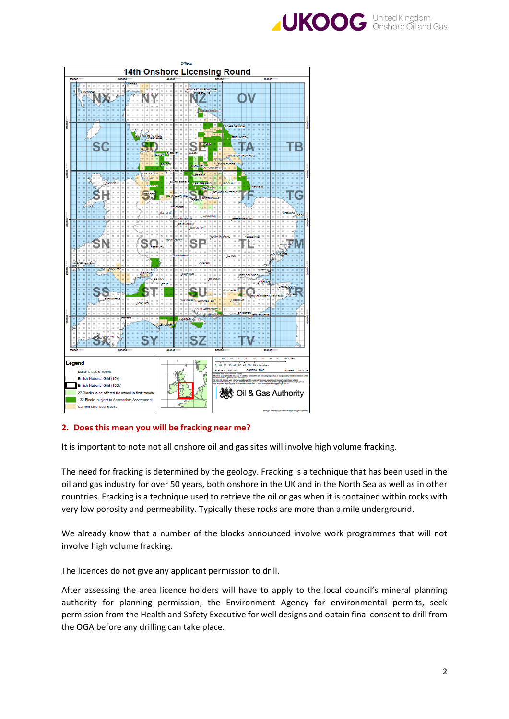



# **2. Does this mean you will be fracking near me?**

It is important to note not all onshore oil and gas sites will involve high volume fracking.

The need for fracking is determined by the geology. Fracking is a technique that has been used in the oil and gas industry for over 50 years, both onshore in the UK and in the North Sea as well as in other countries. Fracking is a technique used to retrieve the oil or gas when it is contained within rocks with very low porosity and permeability. Typically these rocks are more than a mile underground.

We already know that a number of the blocks announced involve work programmes that will not involve high volume fracking.

The licences do not give any applicant permission to drill.

After assessing the area licence holders will have to apply to the local council's mineral planning authority for planning permission, the Environment Agency for environmental permits, seek permission from the Health and Safety Executive for well designs and obtain final consent to drill from the OGA before any drilling can take place.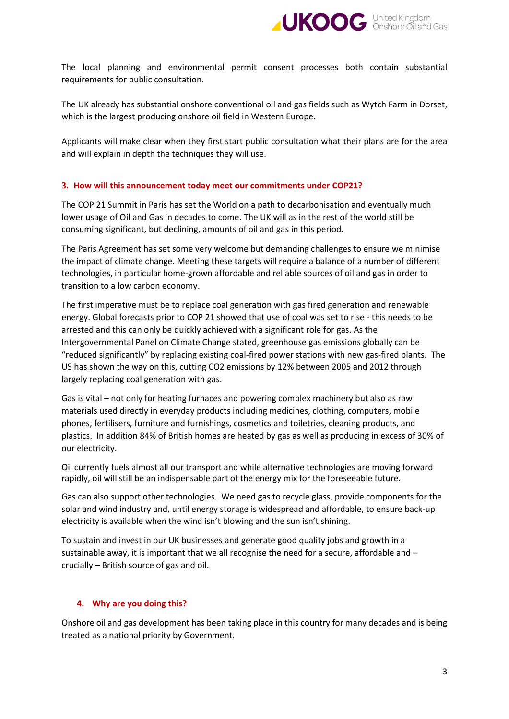

The local planning and environmental permit consent processes both contain substantial requirements for public consultation.

The UK already has substantial onshore conventional oil and gas fields such as Wytch Farm in Dorset, which is the largest producing onshore oil field in Western Europe.

Applicants will make clear when they first start public consultation what their plans are for the area and will explain in depth the techniques they will use.

## **3. How will this announcement today meet our commitments under COP21?**

The COP 21 Summit in Paris has set the World on a path to decarbonisation and eventually much lower usage of Oil and Gas in decades to come. The UK will as in the rest of the world still be consuming significant, but declining, amounts of oil and gas in this period.

The Paris Agreement has set some very welcome but demanding challenges to ensure we minimise the impact of climate change. Meeting these targets will require a balance of a number of different technologies, in particular home-grown affordable and reliable sources of oil and gas in order to transition to a low carbon economy.

The first imperative must be to replace coal generation with gas fired generation and renewable energy. Global forecasts prior to COP 21 showed that use of coal was set to rise - this needs to be arrested and this can only be quickly achieved with a significant role for gas. As the Intergovernmental Panel on Climate Change stated, greenhouse gas emissions globally can be "reduced significantly" by replacing existing coal-fired power stations with new gas-fired plants. The US has shown the way on this, cutting CO2 emissions by 12% between 2005 and 2012 through largely replacing coal generation with gas.

Gas is vital – not only for heating furnaces and powering complex machinery but also as raw materials used directly in everyday products including medicines, clothing, computers, mobile phones, fertilisers, furniture and furnishings, cosmetics and toiletries, cleaning products, and plastics. In addition 84% of British homes are heated by gas as well as producing in excess of 30% of our electricity.

Oil currently fuels almost all our transport and while alternative technologies are moving forward rapidly, oil will still be an indispensable part of the energy mix for the foreseeable future.

Gas can also support other technologies. We need gas to recycle glass, provide components for the solar and wind industry and, until energy storage is widespread and affordable, to ensure back-up electricity is available when the wind isn't blowing and the sun isn't shining.

To sustain and invest in our UK businesses and generate good quality jobs and growth in a sustainable away, it is important that we all recognise the need for a secure, affordable and – crucially – British source of gas and oil.

#### **4. Why are you doing this?**

Onshore oil and gas development has been taking place in this country for many decades and is being treated as a national priority by Government.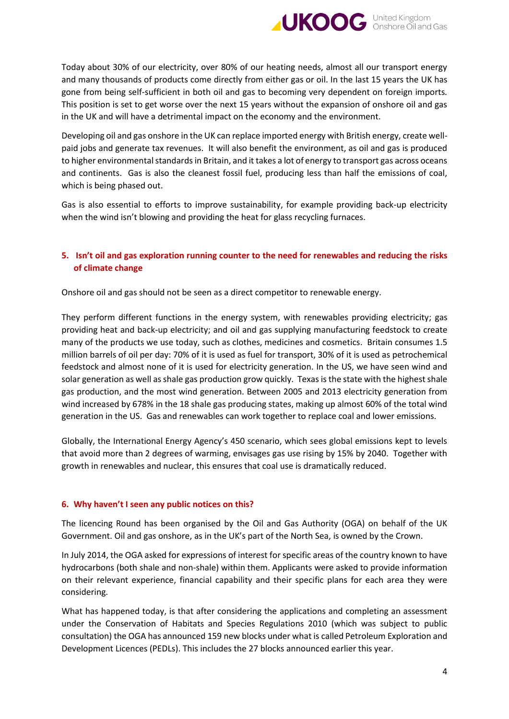

Today about 30% of our electricity, over 80% of our heating needs, almost all our transport energy and many thousands of products come directly from either gas or oil. In the last 15 years the UK has gone from being self-sufficient in both oil and gas to becoming very dependent on foreign imports. This position is set to get worse over the next 15 years without the expansion of onshore oil and gas in the UK and will have a detrimental impact on the economy and the environment.

Developing oil and gas onshore in the UK can replace imported energy with British energy, create wellpaid jobs and generate tax revenues. It will also benefit the environment, as oil and gas is produced to higher environmental standards in Britain, and it takes a lot of energy to transport gas across oceans and continents. Gas is also the cleanest fossil fuel, producing less than half the emissions of coal, which is being phased out.

Gas is also essential to efforts to improve sustainability, for example providing back-up electricity when the wind isn't blowing and providing the heat for glass recycling furnaces.

## **5. Isn't oil and gas exploration running counter to the need for renewables and reducing the risks of climate change**

Onshore oil and gas should not be seen as a direct competitor to renewable energy.

They perform different functions in the energy system, with renewables providing electricity; gas providing heat and back-up electricity; and oil and gas supplying manufacturing feedstock to create many of the products we use today, such as clothes, medicines and cosmetics. Britain consumes 1.5 million barrels of oil per day: 70% of it is used as fuel for transport, 30% of it is used as petrochemical feedstock and almost none of it is used for electricity generation. In the US, we have seen wind and solar generation as well as shale gas production grow quickly. Texas is the state with the highest shale gas production, and the most wind generation. Between 2005 and 2013 electricity generation from wind increased by 678% in the 18 shale gas producing states, making up almost 60% of the total wind generation in the US. Gas and renewables can work together to replace coal and lower emissions.

Globally, the International Energy Agency's 450 scenario, which sees global emissions kept to levels that avoid more than 2 degrees of warming, envisages gas use rising by 15% by 2040. Together with growth in renewables and nuclear, this ensures that coal use is dramatically reduced.

## **6. Why haven't I seen any public notices on this?**

The licencing Round has been organised by the Oil and Gas Authority (OGA) on behalf of the UK Government. Oil and gas onshore, as in the UK's part of the North Sea, is owned by the Crown.

In July 2014, the OGA asked for expressions of interest for specific areas of the country known to have hydrocarbons (both shale and non-shale) within them. Applicants were asked to provide information on their relevant experience, financial capability and their specific plans for each area they were considering.

What has happened today, is that after considering the applications and completing an assessment under the Conservation of Habitats and Species Regulations 2010 (which was subject to public consultation) the OGA has announced 159 new blocks under what is called Petroleum Exploration and Development Licences (PEDLs). This includes the 27 blocks announced earlier this year.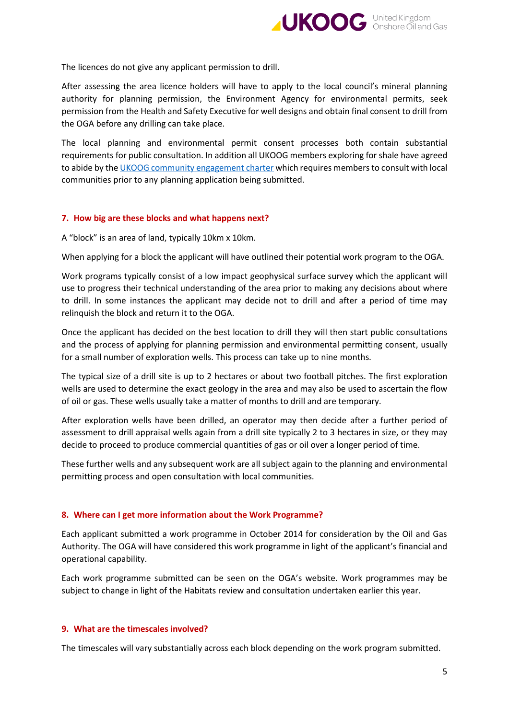

The licences do not give any applicant permission to drill.

After assessing the area licence holders will have to apply to the local council's mineral planning authority for planning permission, the Environment Agency for environmental permits, seek permission from the Health and Safety Executive for well designs and obtain final consent to drill from the OGA before any drilling can take place.

The local planning and environmental permit consent processes both contain substantial requirements for public consultation. In addition all UKOOG members exploring for shale have agreed to abide by th[e UKOOG community engagement charter](http://www.ukoog.org.uk/images/ukoog/pdfs/communityengagementcharterversion6.pdf) which requires members to consult with local communities prior to any planning application being submitted.

## **7. How big are these blocks and what happens next?**

A "block" is an area of land, typically 10km x 10km.

When applying for a block the applicant will have outlined their potential work program to the OGA.

Work programs typically consist of a low impact geophysical surface survey which the applicant will use to progress their technical understanding of the area prior to making any decisions about where to drill. In some instances the applicant may decide not to drill and after a period of time may relinquish the block and return it to the OGA.

Once the applicant has decided on the best location to drill they will then start public consultations and the process of applying for planning permission and environmental permitting consent, usually for a small number of exploration wells. This process can take up to nine months.

The typical size of a drill site is up to 2 hectares or about two football pitches. The first exploration wells are used to determine the exact geology in the area and may also be used to ascertain the flow of oil or gas. These wells usually take a matter of months to drill and are temporary.

After exploration wells have been drilled, an operator may then decide after a further period of assessment to drill appraisal wells again from a drill site typically 2 to 3 hectares in size, or they may decide to proceed to produce commercial quantities of gas or oil over a longer period of time.

These further wells and any subsequent work are all subject again to the planning and environmental permitting process and open consultation with local communities.

## **8. Where can I get more information about the Work Programme?**

Each applicant submitted a work programme in October 2014 for consideration by the Oil and Gas Authority. The OGA will have considered this work programme in light of the applicant's financial and operational capability.

Each work programme submitted can be seen on the OGA's website. Work programmes may be subject to change in light of the Habitats review and consultation undertaken earlier this year.

#### **9. What are the timescales involved?**

The timescales will vary substantially across each block depending on the work program submitted.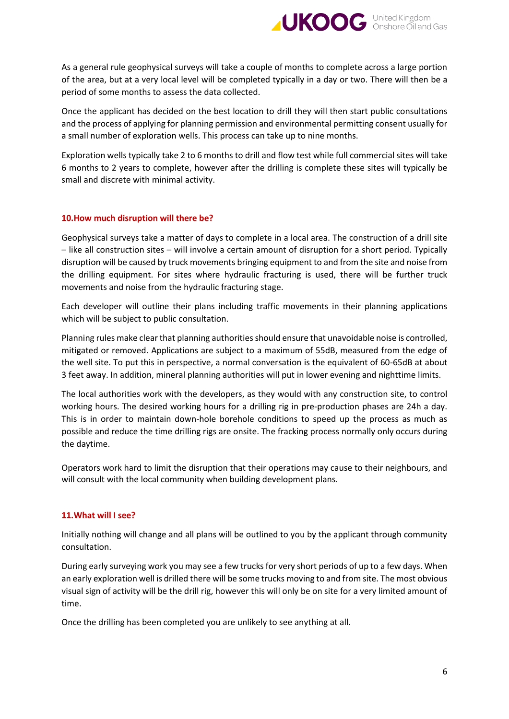

As a general rule geophysical surveys will take a couple of months to complete across a large portion of the area, but at a very local level will be completed typically in a day or two. There will then be a period of some months to assess the data collected.

Once the applicant has decided on the best location to drill they will then start public consultations and the process of applying for planning permission and environmental permitting consent usually for a small number of exploration wells. This process can take up to nine months.

Exploration wells typically take 2 to 6 months to drill and flow test while full commercial sites will take 6 months to 2 years to complete, however after the drilling is complete these sites will typically be small and discrete with minimal activity.

## **10.How much disruption will there be?**

Geophysical surveys take a matter of days to complete in a local area. The construction of a drill site – like all construction sites – will involve a certain amount of disruption for a short period. Typically disruption will be caused by truck movements bringing equipment to and from the site and noise from the drilling equipment. For sites where hydraulic fracturing is used, there will be further truck movements and noise from the hydraulic fracturing stage.

Each developer will outline their plans including traffic movements in their planning applications which will be subject to public consultation.

Planning rules make clear that planning authorities should ensure that unavoidable noise is controlled, mitigated or removed. Applications are subject to a maximum of 55dB, measured from the edge of the well site. To put this in perspective, a normal conversation is the equivalent of 60-65dB at about 3 feet away. In addition, mineral planning authorities will put in lower evening and nighttime limits.

The local authorities work with the developers, as they would with any construction site, to control working hours. The desired working hours for a drilling rig in pre-production phases are 24h a day. This is in order to maintain down-hole borehole conditions to speed up the process as much as possible and reduce the time drilling rigs are onsite. The fracking process normally only occurs during the daytime.

Operators work hard to limit the disruption that their operations may cause to their neighbours, and will consult with the local community when building development plans.

#### **11.What will I see?**

Initially nothing will change and all plans will be outlined to you by the applicant through community consultation.

During early surveying work you may see a few trucks for very short periods of up to a few days. When an early exploration well is drilled there will be some trucks moving to and from site. The most obvious visual sign of activity will be the drill rig, however this will only be on site for a very limited amount of time.

Once the drilling has been completed you are unlikely to see anything at all.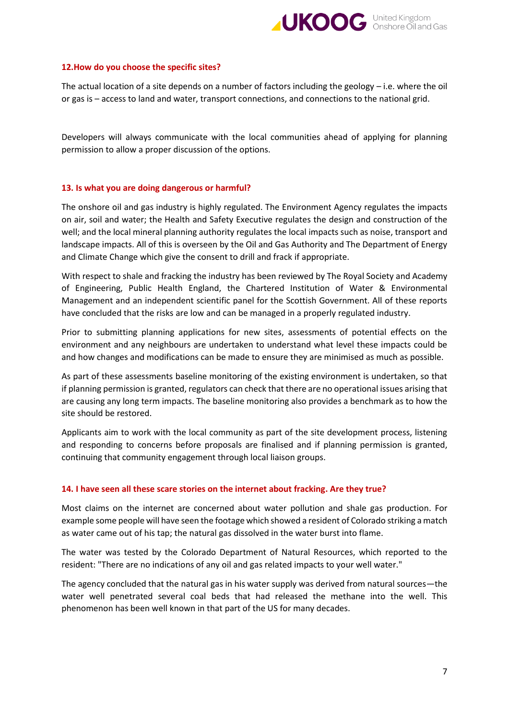

#### **12.How do you choose the specific sites?**

The actual location of a site depends on a number of factors including the geology – i.e. where the oil or gas is – access to land and water, transport connections, and connections to the national grid.

Developers will always communicate with the local communities ahead of applying for planning permission to allow a proper discussion of the options.

#### **13. Is what you are doing dangerous or harmful?**

The onshore oil and gas industry is highly regulated. The Environment Agency regulates the impacts on air, soil and water; the Health and Safety Executive regulates the design and construction of the well; and the local mineral planning authority regulates the local impacts such as noise, transport and landscape impacts. All of this is overseen by the Oil and Gas Authority and The Department of Energy and Climate Change which give the consent to drill and frack if appropriate.

With respect to shale and fracking the industry has been reviewed by The Royal Society and Academy of Engineering, Public Health England, the Chartered Institution of Water & Environmental Management and an independent scientific panel for the Scottish Government. All of these reports have concluded that the risks are low and can be managed in a properly regulated industry.

Prior to submitting planning applications for new sites, assessments of potential effects on the environment and any neighbours are undertaken to understand what level these impacts could be and how changes and modifications can be made to ensure they are minimised as much as possible.

As part of these assessments baseline monitoring of the existing environment is undertaken, so that if planning permission is granted, regulators can check that there are no operational issues arising that are causing any long term impacts. The baseline monitoring also provides a benchmark as to how the site should be restored.

Applicants aim to work with the local community as part of the site development process, listening and responding to concerns before proposals are finalised and if planning permission is granted, continuing that community engagement through local liaison groups.

## **14. I have seen all these scare stories on the internet about fracking. Are they true?**

Most claims on the internet are concerned about water pollution and shale gas production. For example some people will have seen the footage which showed a resident of Colorado striking a match as water came out of his tap; the natural gas dissolved in the water burst into flame.

The water was tested by the Colorado Department of Natural Resources, which reported to the resident: "There are no indications of any oil and gas related impacts to your well water."

The agency concluded that the natural gas in his water supply was derived from natural sources—the water well penetrated several coal beds that had released the methane into the well. This phenomenon has been well known in that part of the US for many decades.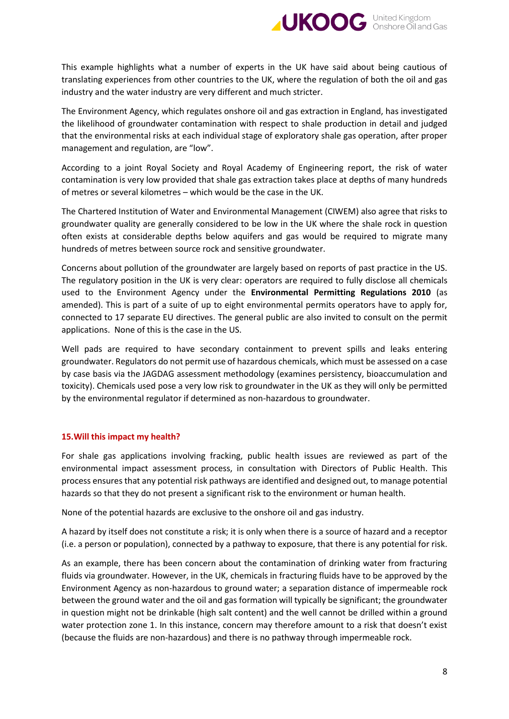

This example highlights what a number of experts in the UK have said about being cautious of translating experiences from other countries to the UK, where the regulation of both the oil and gas industry and the water industry are very different and much stricter.

The Environment Agency, which regulates onshore oil and gas extraction in England, has investigated the likelihood of groundwater contamination with respect to shale production in detail and judged that the environmental risks at each individual stage of exploratory shale gas operation, after proper management and regulation, are "low".

According to a joint Royal Society and Royal Academy of Engineering report, the risk of water contamination is very low provided that shale gas extraction takes place at depths of many hundreds of metres or several kilometres – which would be the case in the UK.

The Chartered Institution of Water and Environmental Management (CIWEM) also agree that risks to groundwater quality are generally considered to be low in the UK where the shale rock in question often exists at considerable depths below aquifers and gas would be required to migrate many hundreds of metres between source rock and sensitive groundwater.

Concerns about pollution of the groundwater are largely based on reports of past practice in the US. The regulatory position in the UK is very clear: operators are required to fully disclose all chemicals used to the Environment Agency under the **Environmental Permitting Regulations 2010** (as amended). This is part of a suite of up to eight environmental permits operators have to apply for, connected to 17 separate EU directives. The general public are also invited to consult on the permit applications. None of this is the case in the US.

Well pads are required to have secondary containment to prevent spills and leaks entering groundwater. Regulators do not permit use of hazardous chemicals, which must be assessed on a case by case basis via the JAGDAG assessment methodology (examines persistency, bioaccumulation and toxicity). Chemicals used pose a very low risk to groundwater in the UK as they will only be permitted by the environmental regulator if determined as non-hazardous to groundwater.

## **15.Will this impact my health?**

For shale gas applications involving fracking, public health issues are reviewed as part of the environmental impact assessment process, in consultation with Directors of Public Health. This process ensures that any potential risk pathways are identified and designed out, to manage potential hazards so that they do not present a significant risk to the environment or human health.

None of the potential hazards are exclusive to the onshore oil and gas industry.

A hazard by itself does not constitute a risk; it is only when there is a source of hazard and a receptor (i.e. a person or population), connected by a pathway to exposure, that there is any potential for risk.

As an example, there has been concern about the contamination of drinking water from fracturing fluids via groundwater. However, in the UK, chemicals in fracturing fluids have to be approved by the Environment Agency as non-hazardous to ground water; a separation distance of impermeable rock between the ground water and the oil and gas formation will typically be significant; the groundwater in question might not be drinkable (high salt content) and the well cannot be drilled within a ground water protection zone 1. In this instance, concern may therefore amount to a risk that doesn't exist (because the fluids are non-hazardous) and there is no pathway through impermeable rock.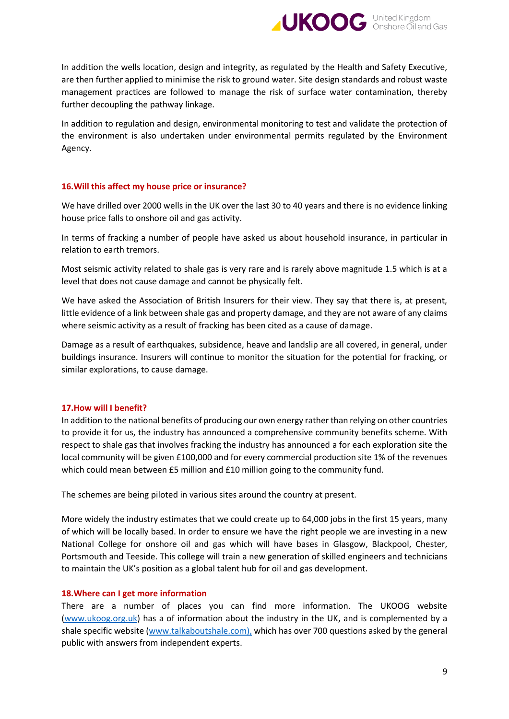

In addition the wells location, design and integrity, as regulated by the Health and Safety Executive, are then further applied to minimise the risk to ground water. Site design standards and robust waste management practices are followed to manage the risk of surface water contamination, thereby further decoupling the pathway linkage.

In addition to regulation and design, environmental monitoring to test and validate the protection of the environment is also undertaken under environmental permits regulated by the Environment Agency.

#### **16.Will this affect my house price or insurance?**

We have drilled over 2000 wells in the UK over the last 30 to 40 years and there is no evidence linking house price falls to onshore oil and gas activity.

In terms of fracking a number of people have asked us about household insurance, in particular in relation to earth tremors.

Most seismic activity related to shale gas is very rare and is rarely above magnitude 1.5 which is at a level that does not cause damage and cannot be physically felt.

We have asked the Association of British Insurers for their view. They say that there is, at present, little evidence of a link between shale gas and property damage, and they are not aware of any claims where seismic activity as a result of fracking has been cited as a cause of damage.

Damage as a result of earthquakes, subsidence, heave and landslip are all covered, in general, under buildings insurance. Insurers will continue to monitor the situation for the potential for fracking, or similar explorations, to cause damage.

#### **17.How will I benefit?**

In addition to the national benefits of producing our own energy rather than relying on other countries to provide it for us, the industry has announced a comprehensive community benefits scheme. With respect to shale gas that involves fracking the industry has announced a for each exploration site the local community will be given £100,000 and for every commercial production site 1% of the revenues which could mean between £5 million and £10 million going to the community fund.

The schemes are being piloted in various sites around the country at present.

More widely the industry estimates that we could create up to 64,000 jobs in the first 15 years, many of which will be locally based. In order to ensure we have the right people we are investing in a new National College for onshore oil and gas which will have bases in Glasgow, Blackpool, Chester, Portsmouth and Teeside. This college will train a new generation of skilled engineers and technicians to maintain the UK's position as a global talent hub for oil and gas development.

#### **18.Where can I get more information**

There are a number of places you can find more information. The UKOOG website [\(www.ukoog.org.uk\)](http://www.ukoog.org.uk/) has a of information about the industry in the UK, and is complemented by a shale specific website [\(www.talkaboutshale.com\)](http://www.talkaboutshale.com/), which has over 700 questions asked by the general public with answers from independent experts.